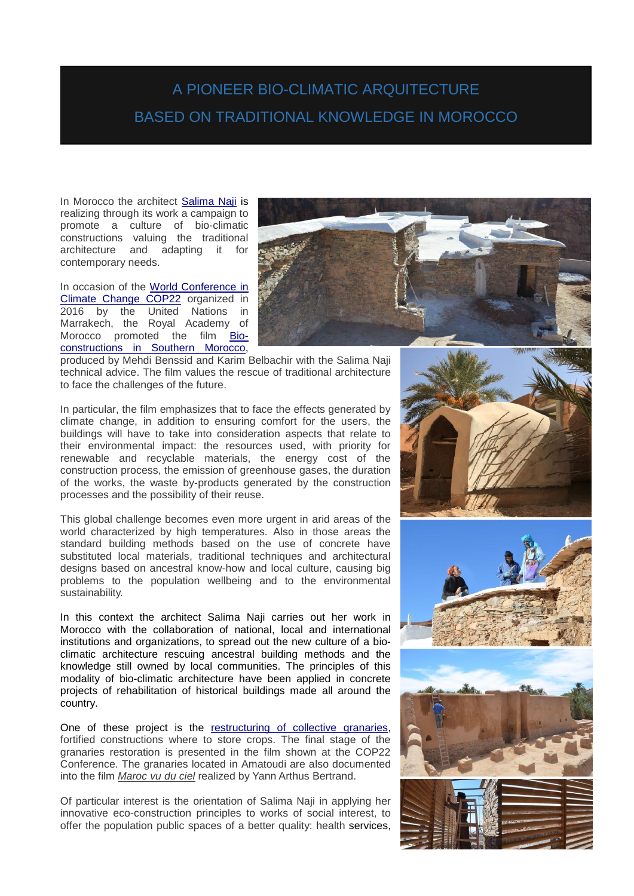## A PIONEER BIO-CLIMATIC ARQUITECTURE BASED ON TRADITIONAL KNOWLEDGE IN MOROCCO

In Morocco the architect [Salima Naji](http://www.salimanaji.org/) is realizing through its work a campaign to promote a culture of bio-climatic constructions valuing the traditional architecture and adapting it for contemporary needs.

In occasion of the [World Conference in](https://en.wikipedia.org/wiki/2016_United_Nations_Climate_Change_Conference)  [Climate Change COP22](https://en.wikipedia.org/wiki/2016_United_Nations_Climate_Change_Conference) organized in 2016 by the United Nations in Marrakech, the Royal Academy of Morocco promoted the film [Bio](http://bioclimaroc.ma/leco-construction-dans-le-sud-du-maroc-le-film/)constructions [in Southern Morocco,](http://bioclimaroc.ma/leco-construction-dans-le-sud-du-maroc-le-film/)



produced by Mehdi Benssid and Karim Belbachir with the Salima Naji technical advice. The film values the rescue of traditional architecture to face the challenges of the future.

In particular, the film emphasizes that to face the effects generated by climate change, in addition to ensuring comfort for the users, the buildings will have to take into consideration aspects that relate to their environmental impact: the resources used, with priority for renewable and recyclable materials, the energy cost of the construction process, the emission of greenhouse gases, the duration of the works, the waste by-products generated by the construction processes and the possibility of their reuse.

This global challenge becomes even more urgent in arid areas of the world characterized by high temperatures. Also in those areas the standard building methods based on the use of concrete have substituted local materials, traditional techniques and architectural designs based on ancestral know-how and local culture, causing big problems to the population wellbeing and to the environmental sustainability.

In this context the architect Salima Naji carries out her work in Morocco with the collaboration of national, local and international institutions and organizations, to spread out the new culture of a bioclimatic architecture rescuing ancestral building methods and the knowledge still owned by local communities. The principles of this modality of bio-climatic architecture have been applied in concrete projects of rehabilitation of historical buildings made all around the country.

One of these project is the [restructuring](http://www.salimanaji.org/salima_naji/greniers_collectifs/) of collective granaries, fortified constructions where to store crops. The final stage of the granaries restoration is presented in the film shown at the COP22 Conference. The granaries located in Amatoudi are also documented into the film *[Maroc vu du ciel](https://www.facebook.com/100010925719146/videos/495704610803725/)* realized by Yann Arthus Bertrand.

Of particular interest is the orientation of Salima Naji in applying her innovative eco-construction principles to works of social interest, to offer the population public spaces of a better quality: health services,





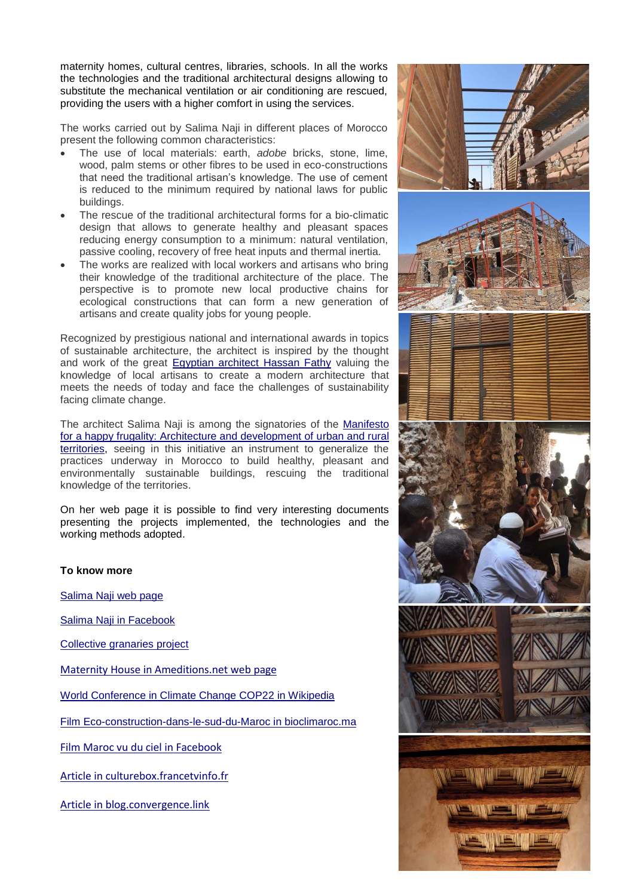maternity homes, cultural centres, libraries, schools. In all the works the technologies and the traditional architectural designs allowing to substitute the mechanical ventilation or air conditioning are rescued, providing the users with a higher comfort in using the services.

The works carried out by Salima Naji in different places of Morocco present the following common characteristics:

- The use of local materials: earth, *adobe* bricks, stone, lime, wood, palm stems or other fibres to be used in eco-constructions that need the traditional artisan's knowledge. The use of cement is reduced to the minimum required by national laws for public buildings.
- The rescue of the traditional architectural forms for a bio-climatic design that allows to generate healthy and pleasant spaces reducing energy consumption to a minimum: natural ventilation, passive cooling, recovery of free heat inputs and thermal inertia.
- The works are realized with local workers and artisans who bring their knowledge of the traditional architecture of the place. The perspective is to promote new local productive chains for ecological constructions that can form a new generation of artisans and create quality jobs for young people.

Recognized by prestigious national and international awards in topics of sustainable architecture, the architect is inspired by the thought and work of the great [Egyptian architect Hassan Fathy](https://en.wikipedia.org/wiki/Hassan_Fathy) valuing the knowledge of local artisans to create a modern architecture that meets the needs of today and face the challenges of sustainability facing climate change.

The architect Salima Naji is among the signatories of the [Manifesto](https://www.frugalite.org/fr/le-manifeste.html)  [for a happy frugality: Architecture and development of urban and rural](https://www.frugalite.org/fr/le-manifeste.html)  [territories,](https://www.frugalite.org/fr/le-manifeste.html) seeing in this initiative an instrument to generalize the practices underway in Morocco to build healthy, pleasant and environmentally sustainable buildings, rescuing the traditional knowledge of the territories.

On her web page it is possible to find very interesting documents presenting the projects implemented, the technologies and the working methods adopted.

## **To know more**

[Salima Naji web](http://www.salimanaji.org/) page

[Salima Naji in Facebook](https://fr-fr.facebook.com/Salima-Naji-214087665440465/)

[Collective granaries project](http://www.salimanaji.org/salima_naji/greniers_collectifs/)

[Maternity House in Ameditions.net web](http://ameditions.net/accueil/maison-de-la-maternite-une-construction-bio-climatique-contemporaine-tissint-commune-rurale-province-de-tata/) page

[World Conference in Climate Change COP22 in Wikipedia](https://en.wikipedia.org/wiki/2016_United_Nations_Climate_Change_Conference)

Film [Eco-construction-dans-le-sud-du-Maroc](http://bioclimaroc.ma/leco-construction-dans-le-sud-du-maroc-le-film/) in bioclimaroc.ma

[Film Maroc vu du ciel in Facebook](https://www.facebook.com/100010925719146/videos/495704610803725/)

[Article in culturebox.francetvinfo.fr](https://culturebox.francetvinfo.fr/arts/architecture/le-combat-de-l-architecte-marocaine-salima-naji-pour-la-pierre-contre-le-ciment-264755)

[Article in blog.convergence.link](http://blog.convergence.link/2017/11/maroc-larchitecte-salima-naji-reconcilie-modernite-et-tradition/)